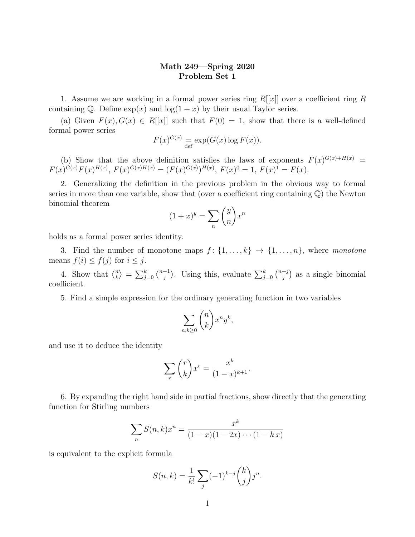## Math 249—Spring 2020 Problem Set 1

1. Assume we are working in a formal power series ring  $R[[x]]$  over a coefficient ring R containing Q. Define  $\exp(x)$  and  $\log(1 + x)$  by their usual Taylor series.

(a) Given  $F(x)$ ,  $G(x) \in R[[x]]$  such that  $F(0) = 1$ , show that there is a well-defined formal power series

$$
F(x)^{G(x)} = \exp(G(x) \log F(x)).
$$

(b) Show that the above definition satisfies the laws of exponents  $F(x)^{G(x)+H(x)} =$  $F(x)^{G(x)}F(x)^{H(x)}, F(x)^{G(x)H(x)} = (F(x)^{G(x)})^{H(x)}, F(x)^0 = 1, F(x)^1 = F(x).$ 

2. Generalizing the definition in the previous problem in the obvious way to formal series in more than one variable, show that (over a coefficient ring containing  $\mathbb{Q}$ ) the Newton binomial theorem

$$
(1+x)^y = \sum_n \binom{y}{n} x^n
$$

holds as a formal power series identity.

3. Find the number of monotone maps  $f: \{1, \ldots, k\} \rightarrow \{1, \ldots, n\}$ , where monotone means  $f(i) \leq f(j)$  for  $i \leq j$ .

4. Show that  $\binom{n}{k}$  $\binom{n}{k} = \sum_{j=0}^{k} \binom{n-1}{j}$  $\langle \frac{-1}{j} \rangle$ . Using this, evaluate  $\sum_{j=0}^{k} \binom{n+j}{j}$  $j^{+j}$  as a single binomial coefficient.

5. Find a simple expression for the ordinary generating function in two variables

$$
\sum_{n,k\geq 0} \binom{n}{k} x^n y^k,
$$

and use it to deduce the identity

$$
\sum_{r} \binom{r}{k} x^r = \frac{x^k}{(1-x)^{k+1}}.
$$

6. By expanding the right hand side in partial fractions, show directly that the generating function for Stirling numbers

$$
\sum_{n} S(n,k)x^{n} = \frac{x^{k}}{(1-x)(1-2x)\cdots(1-kx)}
$$

is equivalent to the explicit formula

$$
S(n,k) = \frac{1}{k!} \sum_{j} (-1)^{k-j} {k \choose j} j^{n}.
$$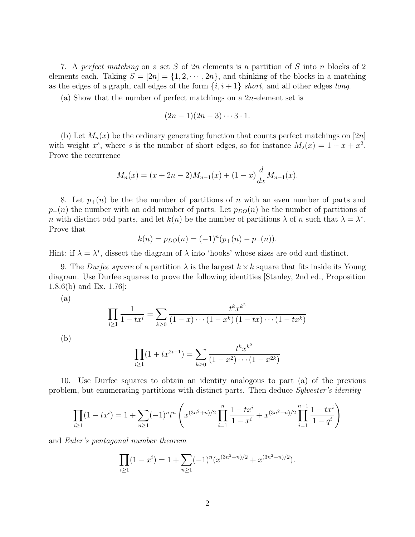7. A perfect matching on a set S of  $2n$  elements is a partition of S into n blocks of 2 elements each. Taking  $S = [2n] = \{1, 2, \dots, 2n\}$ , and thinking of the blocks in a matching as the edges of a graph, call edges of the form  $\{i, i + 1\}$  short, and all other edges long.

(a) Show that the number of perfect matchings on a  $2n$ -element set is

$$
(2n-1)(2n-3)\cdots 3\cdot 1.
$$

(b) Let  $M_n(x)$  be the ordinary generating function that counts perfect matchings on [2n] with weight  $x^s$ , where s is the number of short edges, so for instance  $M_2(x) = 1 + x + x^2$ . Prove the recurrence

$$
M_n(x) = (x + 2n - 2)M_{n-1}(x) + (1 - x)\frac{d}{dx}M_{n-1}(x).
$$

8. Let  $p_{+}(n)$  be the the number of partitions of n with an even number of parts and  $p_-(n)$  the number with an odd number of parts. Let  $p_{DO}(n)$  be the number of partitions of n with distinct odd parts, and let  $k(n)$  be the number of partitions  $\lambda$  of n such that  $\lambda = \lambda^*$ . Prove that

$$
k(n) = p_{DO}(n) = (-1)^n (p_+(n) - p_-(n)).
$$

Hint: if  $\lambda = \lambda^*$ , dissect the diagram of  $\lambda$  into 'hooks' whose sizes are odd and distinct.

9. The *Durfee square* of a partition  $\lambda$  is the largest  $k \times k$  square that fits inside its Young diagram. Use Durfee squares to prove the following identities [Stanley, 2nd ed., Proposition 1.8.6(b) and Ex. 1.76]:

(a)

$$
\prod_{i\geq 1} \frac{1}{1 - tx^i} = \sum_{k\geq 0} \frac{t^k x^{k^2}}{(1 - x) \cdots (1 - x^k)(1 - tx) \cdots (1 - tx^k)}
$$
\n(b)\n
$$
\prod_{i\geq 1} (1 + tx^{2i-1}) = \sum_{k\geq 0} \frac{t^k x^{k^2}}{(1 - x)^{k^2}} = \sum_{k\geq 0} \frac{t^k x^{k^2}}{(1 - x)^{k^2}} = \sum_{k\geq 0} \frac{t^k x^{k^2}}{(1 - x)^{k^2}} = \sum_{k\geq 0} \frac{t^k x^{k^2}}{(1 - x)^{k^2}} = \sum_{k\geq 0} \frac{t^k x^{k^2}}{(1 - x)^{k^2}} = \sum_{k\geq 0} \frac{t^k x^{k^2}}{(1 - x)^{k^2}} = \sum_{k\geq 0} \frac{t^k x^{k^2}}{(1 - x)^{k^2}} = \sum_{k\geq 0} \frac{t^k x^{k^2}}{(1 - x)^{k^2}} = \sum_{k\geq 0} \frac{t^k x^{k^2}}{(1 - x)^{k^2}} = \sum_{k\geq 0} \frac{t^k x^{k^2}}{(1 - x)^{k^2}} = \sum_{k\geq 0} \frac{t^k x^{k^2}}{(1 - x)^{k^2}} = \sum_{k\geq 0} \frac{t^k x^{k^2}}{(1 - x)^{k^2}} = \sum_{k\geq 0} \frac{t^k x^{k^2}}{(1 - x)^{k^2}} = \sum_{k\geq 0} \frac{t^k x^{k^2}}{(1 - x)^{k^2}} = \sum_{k\geq 0} \frac{t^k x^{k^2}}{(1 - x)^{k^2}} = \sum_{k\geq 0} \frac{t^k x^{k^2}}{(1 - x)^{k^2}} = \sum_{k\geq 0} \frac{t^k x^{k^2}}{(1 - x)^{k^2}} = \sum_{k\geq 0} \frac{t^k x^{k^2}}{(1 - x)^{k^2}} = \sum_{k\geq 0} \frac{t^k x^{k^2}}{(1 - x)^{k^2}} = \sum_{k\geq 0} \frac{t^k x^{k^2}}{(1 - x)^{
$$

$$
\prod_{i\geq 1} (1 + tx^{2i-1}) = \sum_{k\geq 0} \frac{t^k x^{k^2}}{(1 - x^2) \cdots (1 - x^{2k})}
$$

10. Use Durfee squares to obtain an identity analogous to part (a) of the previous problem, but enumerating partitions with distinct parts. Then deduce Sylvester's identity

$$
\prod_{i\geq 1} (1-tx^i) = 1 + \sum_{n\geq 1} (-1)^n t^n \left( x^{(3n^2+n)/2} \prod_{i=1}^n \frac{1-tx^i}{1-x^i} + x^{(3n^2-n)/2} \prod_{i=1}^{n-1} \frac{1-tx^i}{1-q^i} \right)
$$

and Euler's pentagonal number theorem

$$
\prod_{i\geq 1} (1-x^i) = 1 + \sum_{n\geq 1} (-1)^n (x^{(3n^2+n)/2} + x^{(3n^2-n)/2}).
$$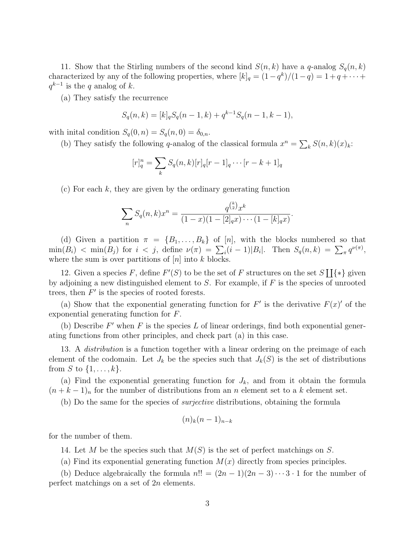11. Show that the Stirling numbers of the second kind  $S(n, k)$  have a q-analog  $S_q(n, k)$ characterized by any of the following properties, where  $[k]_q = (1 - q^k)/(1 - q) = 1 + q + \cdots$  $q^{k-1}$  is the q analog of k.

(a) They satisfy the recurrence

$$
S_q(n,k) = [k]_q S_q(n-1,k) + q^{k-1} S_q(n-1,k-1),
$$

with initial condition  $S_q(0, n) = S_q(n, 0) = \delta_{0,n}$ .

(b) They satisfy the following q-analog of the classical formula  $x^n = \sum_k S(n, k)(x)_k$ :

$$
[r]_q^n = \sum_k S_q(n,k)[r]_q[r-1]_q \cdots [r-k+1]_q
$$

 $(c)$  For each k, they are given by the ordinary generating function

$$
\sum_{n} S_q(n,k)x^n = \frac{q^{\binom{k}{2}}x^k}{(1-x)(1-[2]_q x)\cdots(1-[k]_q x)}.
$$

(d) Given a partition  $\pi = \{B_1, \ldots, B_k\}$  of [n], with the blocks numbered so that  $\min(B_i) < \min(B_j)$  for  $i < j$ , define  $\nu(\pi) = \sum_i (i-1)|B_i|$ . Then  $S_q(n,k) = \sum_{\pi} q^{\nu(\pi)}$ , where the sum is over partitions of  $[n]$  into k blocks.

12. Given a species F, define  $F'(S)$  to be the set of F structures on the set  $S[\{\ast\}]$  given by adjoining a new distinguished element to  $S$ . For example, if  $F$  is the species of unrooted trees, then  $F'$  is the species of rooted forests.

(a) Show that the exponential generating function for  $F'$  is the derivative  $F(x)'$  of the exponential generating function for F.

(b) Describe  $F'$  when  $F$  is the species  $L$  of linear orderings, find both exponential generating functions from other principles, and check part (a) in this case.

13. A *distribution* is a function together with a linear ordering on the preimage of each element of the codomain. Let  $J_k$  be the species such that  $J_k(S)$  is the set of distributions from S to  $\{1,\ldots,k\}$ .

(a) Find the exponential generating function for  $J_k$ , and from it obtain the formula  $(n + k - 1)<sub>n</sub>$  for the number of distributions from an n element set to a k element set.

(b) Do the same for the species of surjective distributions, obtaining the formula

$$
(n)_k(n-1)_{n-k}
$$

for the number of them.

14. Let M be the species such that  $M(S)$  is the set of perfect matchings on S.

(a) Find its exponential generating function  $M(x)$  directly from species principles.

(b) Deduce algebraically the formula  $n!! = (2n-1)(2n-3)\cdots 3 \cdot 1$  for the number of perfect matchings on a set of 2n elements.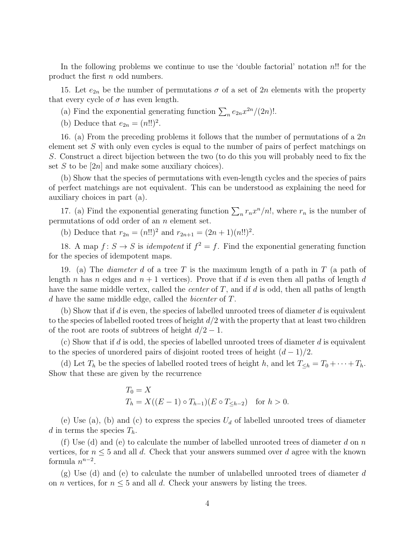In the following problems we continue to use the 'double factorial' notation n!! for the product the first n odd numbers.

15. Let  $e_{2n}$  be the number of permutations  $\sigma$  of a set of 2n elements with the property that every cycle of  $\sigma$  has even length.

(a) Find the exponential generating function  $\sum_{n} e_{2n}x^{2n}/(2n)!$ .

(b) Deduce that  $e_{2n} = (n!!)^2$ .

16. (a) From the preceding problems it follows that the number of permutations of a  $2n$ element set S with only even cycles is equal to the number of pairs of perfect matchings on S. Construct a direct bijection between the two (to do this you will probably need to fix the set S to be  $[2n]$  and make some auxiliary choices).

(b) Show that the species of permutations with even-length cycles and the species of pairs of perfect matchings are not equivalent. This can be understood as explaining the need for auxiliary choices in part (a).

17. (a) Find the exponential generating function  $\sum_{n} r_n x^n/n!$ , where  $r_n$  is the number of permutations of odd order of an n element set.

(b) Deduce that  $r_{2n} = (n!!)^2$  and  $r_{2n+1} = (2n+1)(n!!)^2$ .

18. A map  $f: S \to S$  is *idempotent* if  $f^2 = f$ . Find the exponential generating function for the species of idempotent maps.

19. (a) The *diameter d* of a tree T is the maximum length of a path in T (a path of length n has n edges and  $n + 1$  vertices). Prove that if d is even then all paths of length d have the same middle vertex, called the *center* of  $T$ , and if  $d$  is odd, then all paths of length d have the same middle edge, called the bicenter of T.

(b) Show that if d is even, the species of labelled unrooted trees of diameter d is equivalent to the species of labelled rooted trees of height  $d/2$  with the property that at least two children of the root are roots of subtrees of height  $d/2 - 1$ .

(c) Show that if d is odd, the species of labelled unrooted trees of diameter d is equivalent to the species of unordered pairs of disjoint rooted trees of height  $(d-1)/2$ .

(d) Let  $T_h$  be the species of labelled rooted trees of height h, and let  $T_{\leq h} = T_0 + \cdots + T_h$ . Show that these are given by the recurrence

$$
T_0 = X
$$
  
\n
$$
T_h = X((E - 1) \circ T_{h-1})(E \circ T_{\leq h-2}) \text{ for } h > 0.
$$

(e) Use (a), (b) and (c) to express the species  $U_d$  of labelled unrooted trees of diameter d in terms the species  $T_h$ .

(f) Use (d) and (e) to calculate the number of labelled unrooted trees of diameter d on n vertices, for  $n \leq 5$  and all d. Check that your answers summed over d agree with the known formula  $n^{n-2}$ .

 $(g)$  Use (d) and (e) to calculate the number of unlabelled unrooted trees of diameter d on *n* vertices, for  $n \leq 5$  and all *d*. Check your answers by listing the trees.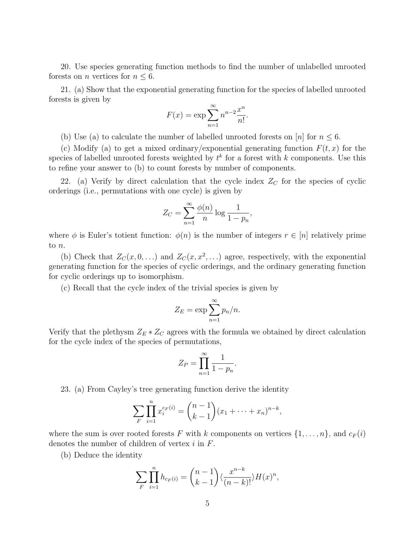20. Use species generating function methods to find the number of unlabelled unrooted forests on *n* vertices for  $n \leq 6$ .

21. (a) Show that the exponential generating function for the species of labelled unrooted forests is given by

$$
F(x) = \exp \sum_{n=1}^{\infty} n^{n-2} \frac{x^n}{n!}.
$$

(b) Use (a) to calculate the number of labelled unrooted forests on |n| for  $n \leq 6$ .

(c) Modify (a) to get a mixed ordinary/exponential generating function  $F(t, x)$  for the species of labelled unrooted forests weighted by  $t^k$  for a forest with k components. Use this to refine your answer to (b) to count forests by number of components.

22. (a) Verify by direct calculation that the cycle index  $Z<sub>C</sub>$  for the species of cyclic orderings (i.e., permutations with one cycle) is given by

$$
Z_C = \sum_{n=1}^{\infty} \frac{\phi(n)}{n} \log \frac{1}{1 - p_n},
$$

where  $\phi$  is Euler's totient function:  $\phi(n)$  is the number of integers  $r \in [n]$  relatively prime to n.

(b) Check that  $Z_C(x, 0, ...)$  and  $Z_C(x, x^2, ...)$  agree, respectively, with the exponential generating function for the species of cyclic orderings, and the ordinary generating function for cyclic orderings up to isomorphism.

(c) Recall that the cycle index of the trivial species is given by

$$
Z_E = \exp \sum_{n=1}^{\infty} p_n/n.
$$

Verify that the plethysm  $Z_E * Z_C$  agrees with the formula we obtained by direct calculation for the cycle index of the species of permutations,

$$
Z_P = \prod_{n=1}^{\infty} \frac{1}{1 - p_n}.
$$

23. (a) From Cayley's tree generating function derive the identity

$$
\sum_{F} \prod_{i=1}^{n} x_i^{c_F(i)} = {n-1 \choose k-1} (x_1 + \dots + x_n)^{n-k},
$$

where the sum is over rooted forests F with k components on vertices  $\{1, \ldots, n\}$ , and  $c_F(i)$ denotes the number of children of vertex  $i$  in  $F$ .

(b) Deduce the identity

$$
\sum_{F} \prod_{i=1}^{n} h_{c_F(i)} = {n-1 \choose k-1} \langle \frac{x^{n-k}}{(n-k)!} \rangle H(x)^n,
$$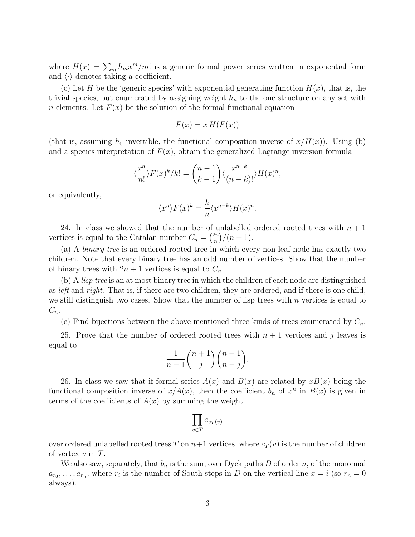where  $H(x) = \sum_{m} h_m x^m / m!$  is a generic formal power series written in exponential form and  $\langle \cdot \rangle$  denotes taking a coefficient.

(c) Let H be the 'generic species' with exponential generating function  $H(x)$ , that is, the trivial species, but enumerated by assigning weight  $h_n$  to the one structure on any set with *n* elements. Let  $F(x)$  be the solution of the formal functional equation

$$
F(x) = x H(F(x))
$$

(that is, assuming  $h_0$  invertible, the functional composition inverse of  $x/H(x)$ ). Using (b) and a species interpretation of  $F(x)$ , obtain the generalized Lagrange inversion formula

$$
\langle \frac{x^n}{n!} \rangle F(x)^k / k! = \binom{n-1}{k-1} \langle \frac{x^{n-k}}{(n-k)!} \rangle H(x)^n,
$$

or equivalently,

$$
\langle x^n \rangle F(x)^k = \frac{k}{n} \langle x^{n-k} \rangle H(x)^n.
$$

24. In class we showed that the number of unlabelled ordered rooted trees with  $n + 1$ vertices is equal to the Catalan number  $C_n = \binom{2n}{n}$  $\binom{2n}{n} / (n+1).$ 

(a) A binary tree is an ordered rooted tree in which every non-leaf node has exactly two children. Note that every binary tree has an odd number of vertices. Show that the number of binary trees with  $2n + 1$  vertices is equal to  $C_n$ .

(b) A lisp tree is an at most binary tree in which the children of each node are distinguished as left and right. That is, if there are two children, they are ordered, and if there is one child, we still distinguish two cases. Show that the number of lisp trees with  $n$  vertices is equal to  $C_n$ .

(c) Find bijections between the above mentioned three kinds of trees enumerated by  $C_n$ .

25. Prove that the number of ordered rooted trees with  $n + 1$  vertices and j leaves is equal to

$$
\frac{1}{n+1} \binom{n+1}{j} \binom{n-1}{n-j}.
$$

26. In class we saw that if formal series  $A(x)$  and  $B(x)$  are related by  $xB(x)$  being the functional composition inverse of  $x/A(x)$ , then the coefficient  $b_n$  of  $x^n$  in  $B(x)$  is given in terms of the coefficients of  $A(x)$  by summing the weight

$$
\prod_{v \in T} a_{c_T(v)}
$$

over ordered unlabelled rooted trees T on  $n+1$  vertices, where  $c_T(v)$  is the number of children of vertex  $v$  in  $T$ .

We also saw, separately, that  $b_n$  is the sum, over Dyck paths D of order n, of the monomial  $a_{r_0}, \ldots, a_{r_n}$ , where  $r_i$  is the number of South steps in D on the vertical line  $x = i$  (so  $r_n = 0$ ) always).